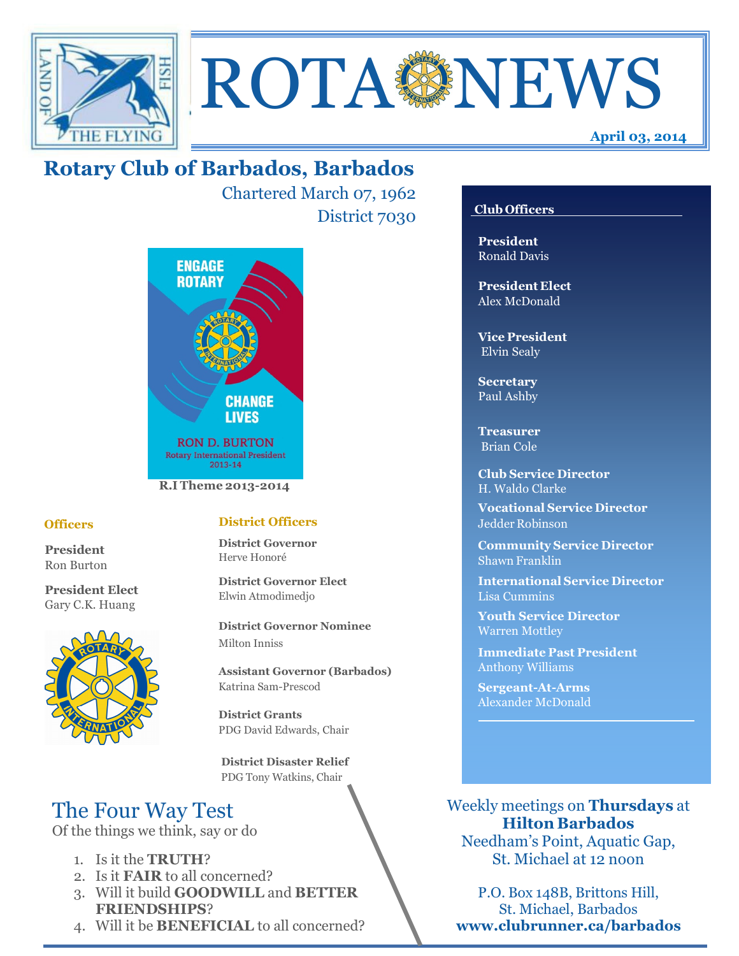



Chartered March 07, 1962 District 7030



## **Officers**

**President** Ron Burton

**President Elect** Gary C.K. Huang



## **District Officers**

**District Governor** Herve Honoré

**District Governor Elect** Elwin Atmodimedjo

**District Governor Nominee**  Milton Inniss

**Assistant Governor (Barbados)** Katrina Sam-Prescod

**District Grants**  PDG David Edwards, Chair

 **District Disaster Relief** PDG Tony Watkins, Chair

# The Four Way Test

Of the things we think, say or do

- 1. Is it the **TRUTH**?
- 2. Is it **FAIR** to all concerned?
- 3. Will it build **GOODWILL** and **BETTER FRIENDSHIPS**?
- 4. Will it be **BENEFICIAL** to all concerned?

## **Club Officers**

**April 03, 2014**

**President** Ronald Davis

**President Elect** Alex McDonald

**Vice President** Elvin Sealy

**Secretary** Paul Ashby

**Treasurer** Brian Cole

**Club Service Director** H. Waldo Clarke

**Vocational Service Director** Jedder Robinson

**Community Service Director** Shawn Franklin

**International Service Director** Lisa Cummins

**Youth Service Director** Warren Mottley

**Immediate Past President** Anthony Williams

**Sergeant-At-Arms** Alexander McDonald

Weekly meetings on **Thursdays** at **Hilton Barbados** Needham's Point, Aquatic Gap,

St. Michael at 12 noon

P.O. Box 148B, Brittons Hill, St. Michael, Barbados **www.clubrunner.ca/barbados**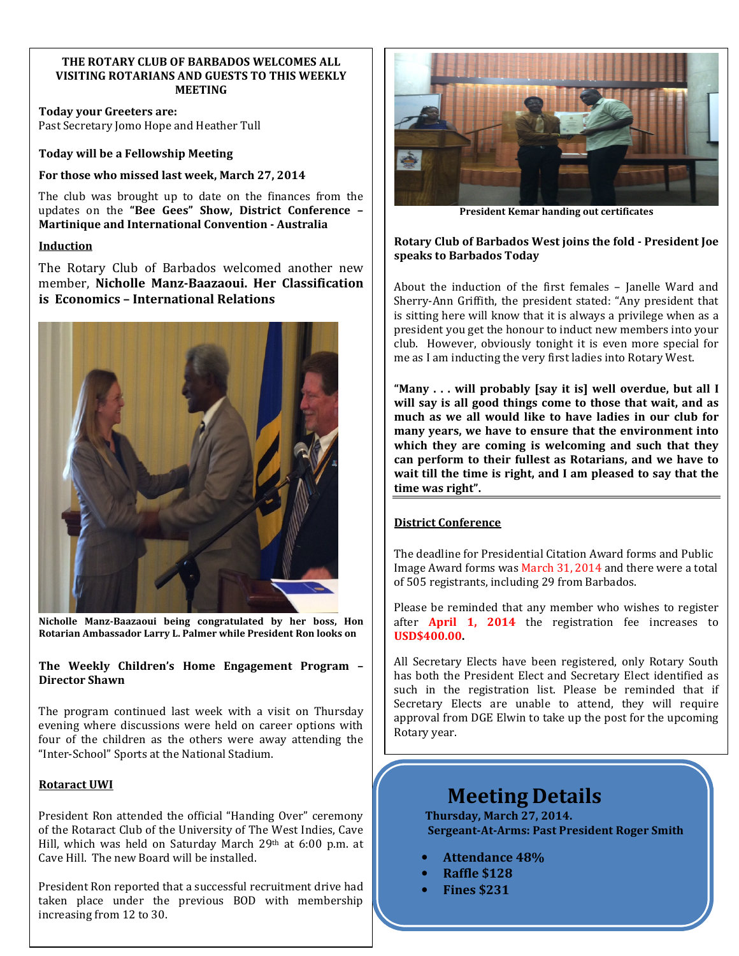#### **THE ROTARY CLUB OF BARBADOS WELCOMES ALL VISITING ROTARIANS AND GUESTS TO THIS WEEKLY MEETING**

**Today your Greeters are:**  Past Secretary Jomo Hope and Heather Tull

**Today will be a Fellowship Meeting** 

**For those who missed last week, March 27, 2014** 

The club was brought up to date on the finances from the updates on the **"Bee Gees" Show, District Conference – Martinique and International Convention - Australia**

#### **Induction**

The Rotary Club of Barbados welcomed another new member, **Nicholle Manz-Baazaoui. Her Classification is Economics – International Relations** 



**Nicholle Manz-Baazaoui being congratulated by her boss, Hon Rotarian Ambassador Larry L. Palmer while President Ron looks on** 

#### **The Weekly Children's Home Engagement Program – Director Shawn**

The program continued last week with a visit on Thursday evening where discussions were held on career options with four of the children as the others were away attending the "Inter-School" Sports at the National Stadium.

#### **Rotaract UWI**

President Ron attended the official "Handing Over" ceremony of the Rotaract Club of the University of The West Indies, Cave Hill, which was held on Saturday March 29th at 6:00 p.m. at Cave Hill. The new Board will be installed.

President Ron reported that a successful recruitment drive had taken place under the previous BOD with membership increasing from 12 to 30.



**President Kemar handing out certificates** 

#### **Rotary Club of Barbados West joins the fold - President Joe speaks to Barbados Today**

About the induction of the first females – Janelle Ward and Sherry-Ann Griffith, the president stated: "Any president that is sitting here will know that it is always a privilege when as a president you get the honour to induct new members into your club. However, obviously tonight it is even more special for me as I am inducting the very first ladies into Rotary West.

**"Many . . . will probably [say it is] well overdue, but all I will say is all good things come to those that wait, and as much as we all would like to have ladies in our club for many years, we have to ensure that the environment into which they are coming is welcoming and such that they can perform to their fullest as Rotarians, and we have to wait till the time is right, and I am pleased to say that the time was right".** 

## **District Conference**

The deadline for Presidential Citation Award forms and Public Image Award forms was March 31, 2014 and there were a total of 505 registrants, including 29 from Barbados.

Please be reminded that any member who wishes to register after **April 1, 2014** the registration fee increases to **USD\$400.00.**

All Secretary Elects have been registered, only Rotary South has both the President Elect and Secretary Elect identified as such in the registration list. Please be reminded that if Secretary Elects are unable to attend, they will require approval from DGE Elwin to take up the post for the upcoming Rotary year.

# **Meeting Details**

**Thursday, March 27, 2014. Sergeant-At-Arms: Past President Roger Smith** 

- **Attendance 48%**
- **Raffle \$128**
- **Fines \$231**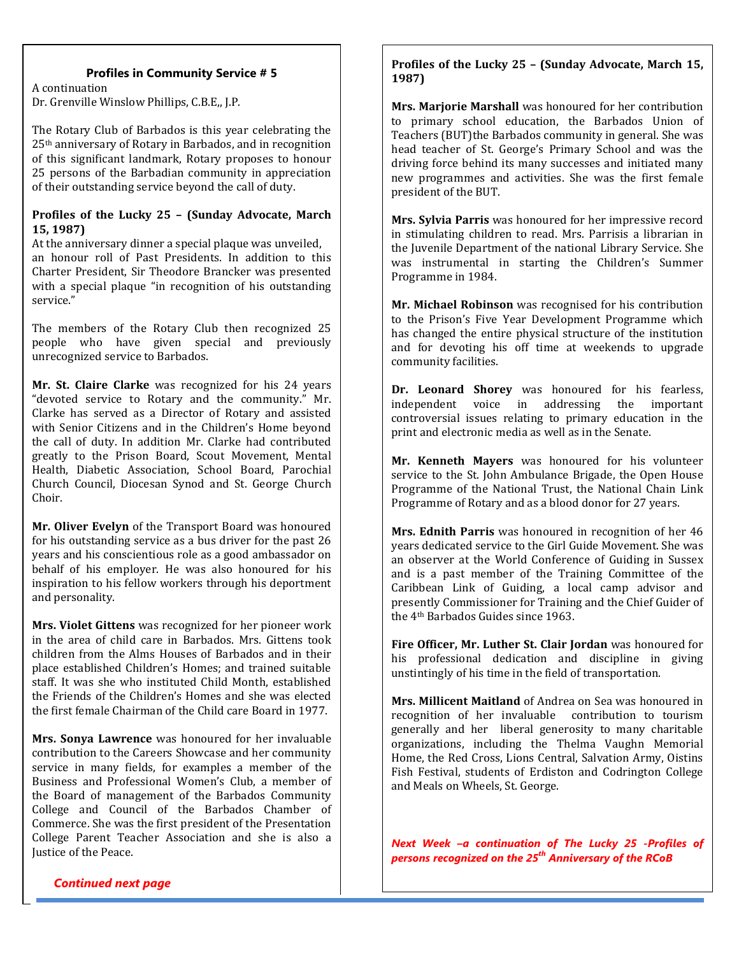## **Profiles in Community Service # 5**

Dr. Grenville Winslow Phillips, C.B.E,, J.P. A continuation

The Rotary Club of Barbados is this year celebrating the 25th anniversary of Rotary in Barbados, and in recognition of this significant landmark, Rotary proposes to honour 25 persons of the Barbadian community in appreciation of their outstanding service beyond the call of duty.

#### **Profiles of the Lucky 25 – (Sunday Advocate, March 15, 1987)**

At the anniversary dinner a special plaque was unveiled, an honour roll of Past Presidents. In addition to this Charter President, Sir Theodore Brancker was presented with a special plaque "in recognition of his outstanding service."

The members of the Rotary Club then recognized 25 people who have given special and previously unrecognized service to Barbados.

**Mr. St. Claire Clarke** was recognized for his 24 years "devoted service to Rotary and the community." Mr. Clarke has served as a Director of Rotary and assisted with Senior Citizens and in the Children's Home beyond the call of duty. In addition Mr. Clarke had contributed greatly to the Prison Board, Scout Movement, Mental Health, Diabetic Association, School Board, Parochial Church Council, Diocesan Synod and St. George Church Choir.

**Mr. Oliver Evelyn** of the Transport Board was honoured for his outstanding service as a bus driver for the past 26 years and his conscientious role as a good ambassador on behalf of his employer. He was also honoured for his inspiration to his fellow workers through his deportment and personality.

**Mrs. Violet Gittens** was recognized for her pioneer work in the area of child care in Barbados. Mrs. Gittens took children from the Alms Houses of Barbados and in their place established Children's Homes; and trained suitable staff. It was she who instituted Child Month, established the Friends of the Children's Homes and she was elected the first female Chairman of the Child care Board in 1977.

**Mrs. Sonya Lawrence** was honoured for her invaluable contribution to the Careers Showcase and her community service in many fields, for examples a member of the Business and Professional Women's Club, a member of the Board of management of the Barbados Community College and Council of the Barbados Chamber of Commerce. She was the first president of the Presentation College Parent Teacher Association and she is also a Justice of the Peace.

#### **Profiles of the Lucky 25 – (Sunday Advocate, March 15, 1987)**

**Mrs. Marjorie Marshall** was honoured for her contribution to primary school education, the Barbados Union of Teachers (BUT)the Barbados community in general. She was head teacher of St. George's Primary School and was the driving force behind its many successes and initiated many new programmes and activities. She was the first female president of the BUT.

**Mrs. Sylvia Parris** was honoured for her impressive record in stimulating children to read. Mrs. Parrisis a librarian in the Juvenile Department of the national Library Service. She was instrumental in starting the Children's Summer Programme in 1984.

**Mr. Michael Robinson** was recognised for his contribution to the Prison's Five Year Development Programme which has changed the entire physical structure of the institution and for devoting his off time at weekends to upgrade community facilities.

**Dr. Leonard Shorey** was honoured for his fearless, independent voice in addressing the important controversial issues relating to primary education in the print and electronic media as well as in the Senate.

**Mr. Kenneth Mayers** was honoured for his volunteer service to the St. John Ambulance Brigade, the Open House Programme of the National Trust, the National Chain Link Programme of Rotary and as a blood donor for 27 years.

**Mrs. Ednith Parris** was honoured in recognition of her 46 years dedicated service to the Girl Guide Movement. She was an observer at the World Conference of Guiding in Sussex and is a past member of the Training Committee of the Caribbean Link of Guiding, a local camp advisor and presently Commissioner for Training and the Chief Guider of the 4th Barbados Guides since 1963.

**Fire Officer, Mr. Luther St. Clair Jordan** was honoured for his professional dedication and discipline in giving unstintingly of his time in the field of transportation.

**Mrs. Millicent Maitland** of Andrea on Sea was honoured in recognition of her invaluable contribution to tourism generally and her liberal generosity to many charitable organizations, including the Thelma Vaughn Memorial Home, the Red Cross, Lions Central, Salvation Army, Oistins Fish Festival, students of Erdiston and Codrington College and Meals on Wheels, St. George.

*Next Week –a continuation of The Lucky 25 -Profiles of persons recognized on the 25th Anniversary of the RCoB* 

*Continued next page*